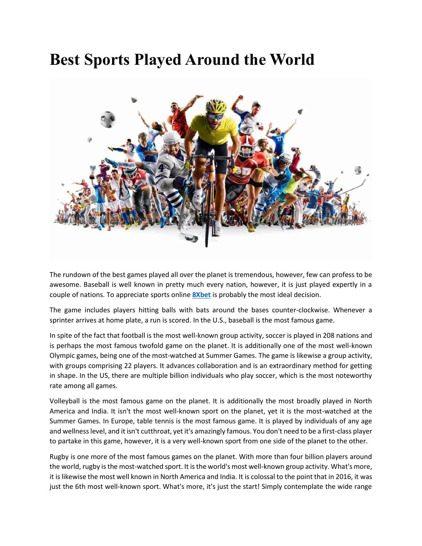## **Best Sports Played Around the World**



The rundown of the best games played all over the planet is tremendous, however, few can profess to be awesome. Baseball is well known in pretty much every nation, however, it is just played expertly in a couple of nations. To appreciate sports online **[8Xbet](https://8xbet.win/)** is probably the most ideal decision.

The game includes players hitting balls with bats around the bases counter-clockwise. Whenever a sprinter arrives at home plate, a run is scored. In the U.S., baseball is the most famous game.

In spite of the fact that football is the most well-known group activity, soccer is played in 208 nations and is perhaps the most famous twofold game on the planet. It is additionally one of the most well-known Olympic games, being one of the most-watched at Summer Games. The game is likewise a group activity, with groups comprising 22 players. It advances collaboration and is an extraordinary method for getting in shape. In the US, there are multiple billion individuals who play soccer, which is the most noteworthy rate among all games.

Volleyball is the most famous game on the planet. It is additionally the most broadly played in North America and India. It isn't the most well-known sport on the planet, yet it is the most-watched at the Summer Games. In Europe, table tennis is the most famous game. It is played by individuals of any age and wellness level, and it isn't cutthroat, yet it's amazingly famous. You don't need to be a first-class player to partake in this game, however, it is a very well-known sport from one side of the planet to the other.

Rugby is one more of the most famous games on the planet. With more than four billion players around the world, rugby is the most-watched sport. It is the world's most well-known group activity. What's more, it is likewise the most well known in North America and India. It is colossal to the point that in 2016, it was just the 6th most well-known sport. What's more, it's just the start! Simply contemplate the wide range